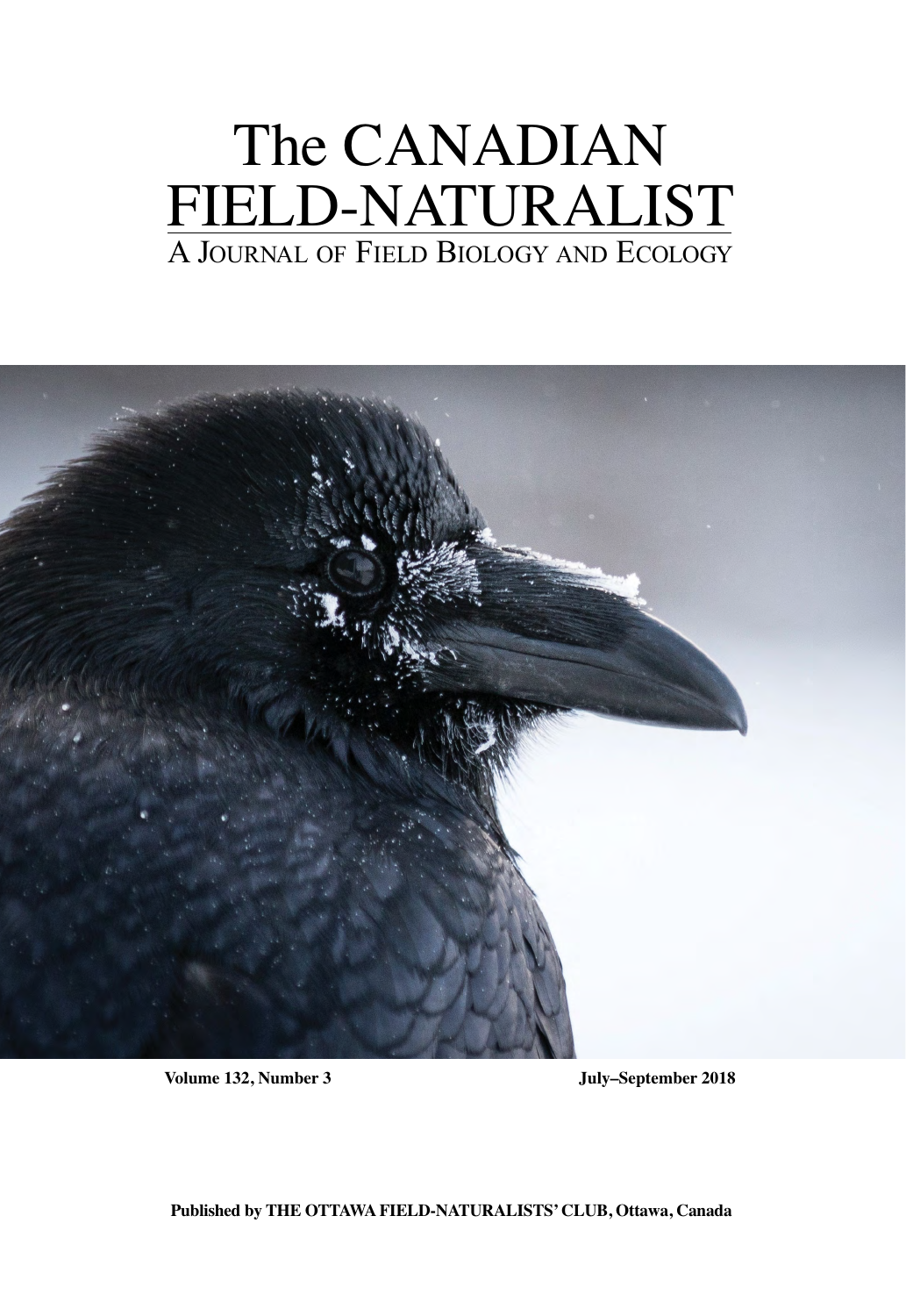# The CANADIAN FIELD-NATURALIST A JOURNAL OF FIELD BIOLOGY AND ECOLOGY



**Volume 132, Number 3 July–September 2018**

**Published by THE OTTAWA FIELD-NATURALISTS' CLUB, Ottawa, Canada**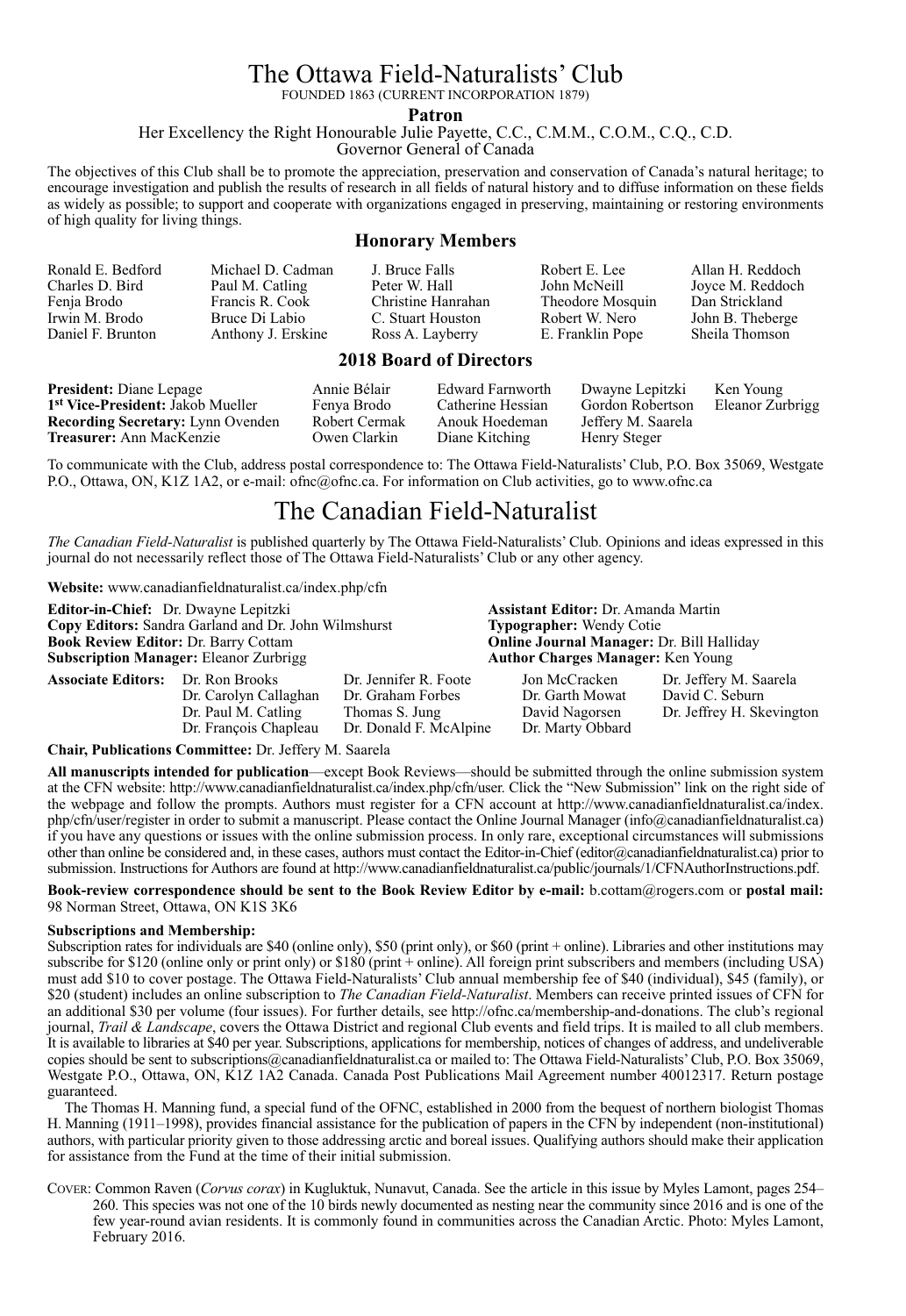# The Ottawa Field-Naturalists' Club The Ottawa Field-Naturalists' Club

FOUNDED 1863 (CURRENT INCORPORATION 1879) FOUNDED 1863 (CURRENT INCORPORATION 1879)

**Patron Parameter** 

Her Excellency the Right Honourable Julie Payette, C.C., C.M.M., C.O.M., C.Q., C.D. Her Excellency the Right Honourable Julie Payette, C.C., C.M.M., C.O.M., C.Q.

Governor General of Canada Governor General of Canada

The objectives of this Club shall be to promote the appreciation, preservation and conservation of Canada's natural heritage; to encourage investigation and publish the results of research in all fields of natural history and to diffuse information on these fields as widely as possible; to support and cooperate with organizations engaged in preserving, maintaining or restoring environments of high quality for living things. of high quality for living things.

#### **Honorary Members Honorary Members**

| Ronald E. Bedford                                                                      | Michael D. Cadman  | J. Bruce Falls     | Robert E. Lee    | Allan H. Reddoch |  |  |
|----------------------------------------------------------------------------------------|--------------------|--------------------|------------------|------------------|--|--|
| Charles D. Bird                                                                        | Paul M. Catling    | Peter W. Hall      | John McNeill     | Joyce M. Reddoch |  |  |
| Fenja Brodo                                                                            | Francis R. Cook    | Christine Hanrahan | Theodore Mosquin | Dan Strickland   |  |  |
| Irwin M. Brodo                                                                         | Bruce Di Labio     | C. Stuart Houston  | Robert W. Nero   | John B. Theberge |  |  |
| Daniel F. Brunton                                                                      | Anthony J. Erskine | Ross A. Layberry   | E. Franklin Pope | Sheila Thomson   |  |  |
| $2010 \text{ R} \cdot \ldots \cdot 1 \cdot \text{R} \cdot \ldots \cdot 1 \cdot \ldots$ |                    |                    |                  |                  |  |  |

#### **2018 Board of Directors 2018 Board of Directors**

| <b>President:</b> Diane Lepage                | Annie Bélair  | Edward Farnworth  | Dwayne Lepitzki    | Ken Young        |
|-----------------------------------------------|---------------|-------------------|--------------------|------------------|
| 1 <sup>st</sup> Vice-President: Jakob Mueller | Fenya Brodo   | Catherine Hessian | Gordon Robertson   | Eleanor Zurbrigg |
| <b>Recording Secretary:</b> Lynn Ovenden      | Robert Cermak | Anouk Hoedeman    | Jeffery M. Saarela |                  |
| <b>Treasurer:</b> Ann MacKenzie               | Owen Clarkin  | Diane Kitching    | Henry Steger       |                  |

To communicate with the Club, address postal correspondence to: The Ottawa Field-Naturalists' Club, P.O. Box 35069, Westgate P.O., Ottawa, ON, K1Z 1A2, or e-mail: ofnc@ofnc.ca. For information on Club activities, go to www.ofnc.ca P.O., Ottawa, ON, K1Z 1A2, or e-mail: ofnc@ofnc.ca. For information on Club activities, go to www.ofnc.ca

# The Canadian Field-Naturalist The Canadian Field-Naturalist

The Canadian Field-Naturalist is published quarterly by The Ottawa Field-Naturalists' Club. Opinions and ideas expressed in this journal do not necessarily reflect those of The Ottawa Field-Naturalists' Club or any other agency. journal do not necessarily reflect those of The Ottawa Field-Naturalists' Club or any other agency.

**Website:** www.canadianfieldnaturalist.ca/index.php/cfn **Website:** www.canadianfieldnaturalist.ca/index.php/cfn

**Editor-in-Chief:** Dr. Dwayne Lepitzki **Assistant Editor:** Dr. Amanda Martin **Editor-in-Chief:** Dr. Dwayne Lepitzki **Assistant Editor:** Dr. Amanda Martin **Copy Editors:** Sandra Garland and Dr. John Wilmshurst **Typographer:** Wendy Cotie **Copy Editors:** Sandra Garland and Dr. John Wilmshurst **Typographer:** Wendy Cotie **Book Book Book Review Book Band Halliday**<br>**Author Charges Manager:** Ken Young **Subscription Manager:** Eleanor Zurbrigg **Author Charges Manager:** Ken Young **Associate Editors:** Dr. Ron Brooks Dr. Jennifer R. Foote Jon McCracken Dr. Jeffery M. Saarela **Associate Editors:** Dr. Ron Brooks Dr. Jennifer R. Foote Jon McCracken Dr. Jeffery M. Saarela Dr. Carolyn Callaghan Dr. Graham Forbes Dr. Garth Mowat David C. Seburn Dr. Carolyn Callaghan Dr. Graham Forbes Dr. Garth Mowat David C. Seburn Thomas S. Jung David Nagorsen Dr. Jeffrey H. Skevington<br>Dr. Donald F. McAlpine Dr. Marty Obbard Dr. François Chapleau Dr. Donald F. McAlpine Dr. Marty Obbard Dr. François Chapleau Dr. Donald F. McAlpine Dr. Marty Obbard **Book Review Editor: Dr. Barry Cottam** Dr. Paul M. Catling

**Chair, Publications Committee:** Dr. Jeffery M. Saarela **Chair, Publications Committee:** Dr. Jeffery M. Saarela

All manuscripts intended for publication—except Book Reviews—should be submitted through the online submission system at the CFN website: http://www.canadianfieldnaturalist.ca/index.php/cfn/user. Click the "New Submission" link on the right side of the webpage and follow the prompts. Authors must register for a CFN account at http://www.canadianfieldnaturalist.ca/index. php/cfn/user/register in order to submit a manuscript. Please contact the Online Journal Manager (info@canadianfieldnaturalist.ca) if you have any questions or issues with the online submission process. In only rare, exceptional circumstances will submissions other than online be considered and, in these cases, authors must contact the Editor-in-Chief (editor@canadianfieldnaturalist.ca) prior to submission. Instructions for Authors are found at http://www.canadianfieldnaturalist.ca/public/journals/1/CFNAuthorInstructions.pdf.

Book-review correspondence should be sent to the Book Review Editor by e-mail: b.cottam@rogers.com or postal mail: 98 Norman Street, Ottawa, ON K1S 3K6 98 Norman Street, Ottawa, ON K1S 3K6

#### **Subscriptions and Membership: Subscriptions and Membership:**

Subscription rates for individuals are \$40 (online only), \$50 (print only), or \$60 (print + online). Libraries and other institutions may subscribe for \$120 (online only or print only) or \$180 (print + online). All foreign print subscribers and members (including USA) must add \$10 to cover postage. The Ottawa Field-Naturalists' Club annual membership fee of \$40 (individual), \$45 (family), or \$20 (student) includes an online subscription to *The Canadian Field-Naturalist*. Members can receive printed issues of CFN for an additional \$30 per volume (four issues). For further details, see http://ofnc.ca/membership-and-donations. The club's regional journal, Trail & Landscape, covers the Ottawa District and regional Club events and field trips. It is mailed to all club members. It is available to libraries at \$40 per year. Subscriptions, applications for membership, notices of changes of address, and undeliverable copies should be sent to subscriptions@canadianfieldnaturalist.ca or mailed to: The Ottawa Field-Naturalists' Club, P.O. Box 35069, Westgate P.O., Ottawa, ON, K1Z 1A2 Canada. Canada Post Publications Mail Agreement number 40012317. Return postage guaranteed. guaranteed.

The Thomas H. Manning fund, a special fund of the OFNC, established in 2000 from the bequest of northern biologist Thomas H. Manning (1911–1998), provides financial assistance for the publication of papers in the CFN by independent (non-institutional) authors, with particular priority given to those addressing arctic and boreal issues. Qualifying authors should make their application for assistance from the Fund at the time of their initial submission. for assistance from the Fund at the time of their initial submission.

COVER: Common Raven (Corvus corax) in Kugluktuk, Nunavut, Canada. See the article in this issue by Myles Lamont, pages 254 260. This species was not one of the 10 birds newly documented as nesting near the community since 2016 and is one of the few year-round avian residents. It is commonly found in communities across the Canadian Arctic. Photo: Myles Lamont, February 2016. February 2016.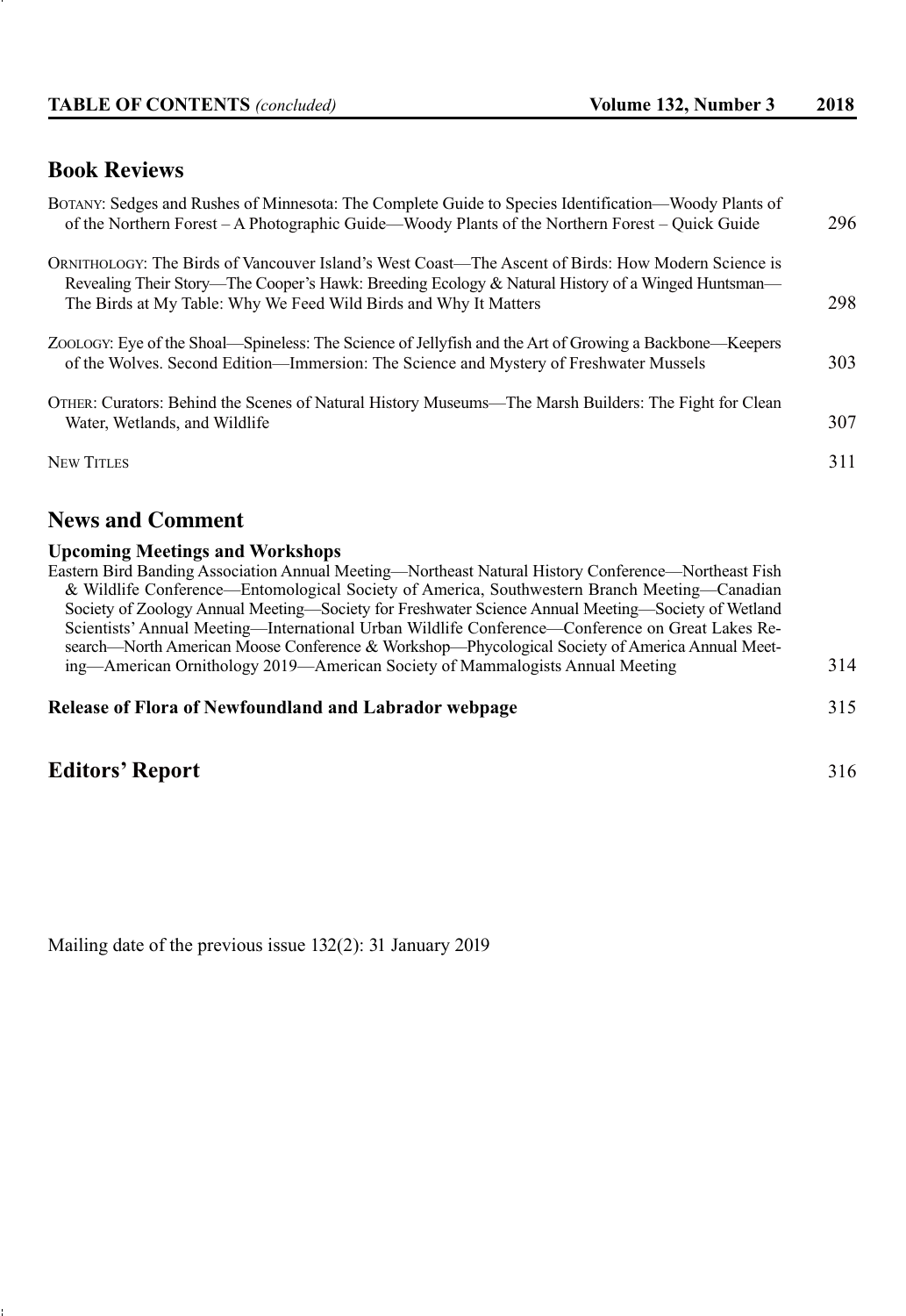### **Book Reviews**

| BOTANY: Sedges and Rushes of Minnesota: The Complete Guide to Species Identification—Woody Plants of<br>of the Northern Forest – A Photographic Guide—Woody Plants of the Northern Forest – Quick Guide                                                                     | 296 |
|-----------------------------------------------------------------------------------------------------------------------------------------------------------------------------------------------------------------------------------------------------------------------------|-----|
| ORNITHOLOGY: The Birds of Vancouver Island's West Coast—The Ascent of Birds: How Modern Science is<br>Revealing Their Story—The Cooper's Hawk: Breeding Ecology & Natural History of a Winged Huntsman—<br>The Birds at My Table: Why We Feed Wild Birds and Why It Matters | 298 |
| ZOOLOGY: Eye of the Shoal—Spineless: The Science of Jellyfish and the Art of Growing a Backbone—Keepers<br>of the Wolves. Second Edition—Immersion: The Science and Mystery of Freshwater Mussels                                                                           | 303 |
| OTHER: Curators: Behind the Scenes of Natural History Museums—The Marsh Builders: The Fight for Clean<br>Water, Wetlands, and Wildlife                                                                                                                                      | 307 |
| <b>NEW TITLES</b>                                                                                                                                                                                                                                                           | 311 |
|                                                                                                                                                                                                                                                                             |     |

## **News and Comment**

#### **Upcoming Meetings and Workshops**

Eastern Bird Banding Association Annual Meeting—Northeast Natural History Conference—Northeast Fish & Wildlife Conference—Entomological Society of America, Southwestern Branch Meeting—Canadian Society of Zoology Annual Meeting—Society for Freshwater Science Annual Meeting—Society of Wetland Scientists' Annual Meeting—International Urban Wildlife Conference—Conference on Great Lakes Re search—North American Moose Conference & Workshop—Phycological Society of America Annual Meeting—American Ornithology 2019—American Society of Mammalogists Annual Meeting 314

#### **Release of Flora of Newfoundland and Labrador webpage** 315

# **Editors' Report** 316

Mailing date of the previous issue 132(2): 31 January 2019